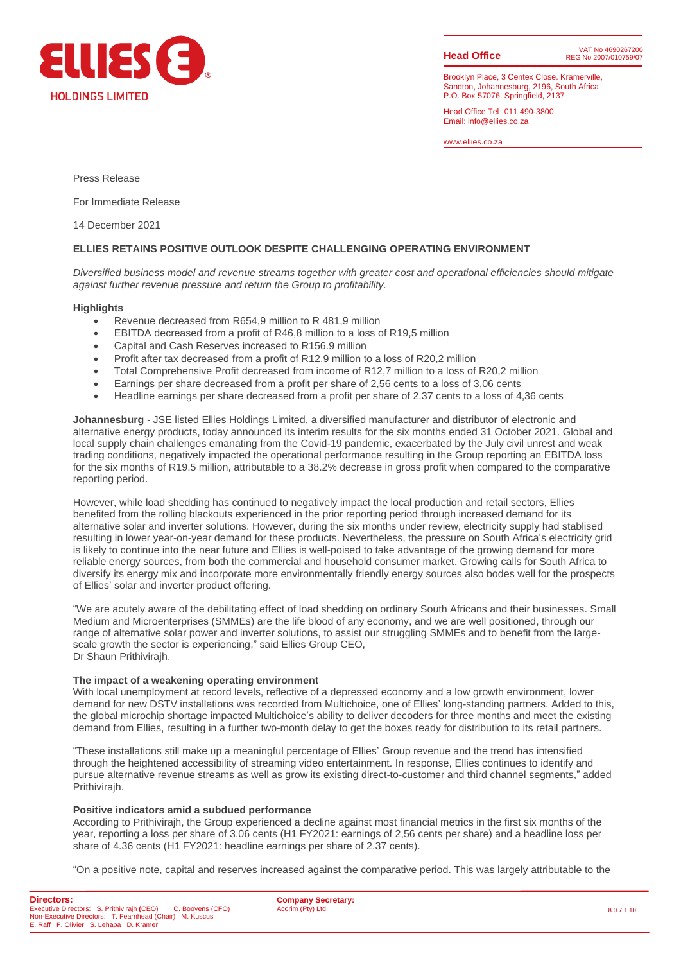

**Head Office**

Brooklyn Place, 3 Centex Close. Kramerville, Sandton, Johannesburg, 2196, South Africa P.O. Box 57076, Springfield, 2137

Head Office Tel : 011 490-3800 Email: info@ellies.co.za

www.ellies.co.za

Press Release

For Immediate Release

14 December 2021

## **ELLIES RETAINS POSITIVE OUTLOOK DESPITE CHALLENGING OPERATING ENVIRONMENT**

*Diversified business model and revenue streams together with greater cost and operational efficiencies should mitigate against further revenue pressure and return the Group to profitability.*

#### **Highlights**

- Revenue decreased from R654,9 million to R 481,9 million
- EBITDA decreased from a profit of R46,8 million to a loss of R19,5 million
- Capital and Cash Reserves increased to R156.9 million
- Profit after tax decreased from a profit of R12,9 million to a loss of R20,2 million
- Total Comprehensive Profit decreased from income of R12,7 million to a loss of R20,2 million
- Earnings per share decreased from a profit per share of 2,56 cents to a loss of 3,06 cents
- Headline earnings per share decreased from a profit per share of 2.37 cents to a loss of 4,36 cents

**Johannesburg** - JSE listed Ellies Holdings Limited, a diversified manufacturer and distributor of electronic and alternative energy products, today announced its interim results for the six months ended 31 October 2021. Global and local supply chain challenges emanating from the Covid-19 pandemic, exacerbated by the July civil unrest and weak trading conditions, negatively impacted the operational performance resulting in the Group reporting an EBITDA loss for the six months of R19.5 million, attributable to a 38.2% decrease in gross profit when compared to the comparative reporting period.

However, while load shedding has continued to negatively impact the local production and retail sectors, Ellies benefited from the rolling blackouts experienced in the prior reporting period through increased demand for its alternative solar and inverter solutions. However, during the six months under review, electricity supply had stablised resulting in lower year-on-year demand for these products. Nevertheless, the pressure on South Africa's electricity grid is likely to continue into the near future and Ellies is well-poised to take advantage of the growing demand for more reliable energy sources, from both the commercial and household consumer market. Growing calls for South Africa to diversify its energy mix and incorporate more environmentally friendly energy sources also bodes well for the prospects of Ellies' solar and inverter product offering.

"We are acutely aware of the debilitating effect of load shedding on ordinary South Africans and their businesses. Small Medium and Microenterprises (SMMEs) are the life blood of any economy, and we are well positioned, through our range of alternative solar power and inverter solutions, to assist our struggling SMMEs and to benefit from the largescale growth the sector is experiencing," said Ellies Group CEO, Dr Shaun Prithivirajh.

### **The impact of a weakening operating environment**

With local unemployment at record levels, reflective of a depressed economy and a low growth environment, lower demand for new DSTV installations was recorded from Multichoice, one of Ellies' long-standing partners. Added to this, the global microchip shortage impacted Multichoice's ability to deliver decoders for three months and meet the existing demand from Ellies, resulting in a further two-month delay to get the boxes ready for distribution to its retail partners.

"These installations still make up a meaningful percentage of Ellies' Group revenue and the trend has intensified through the heightened accessibility of streaming video entertainment. In response, Ellies continues to identify and pursue alternative revenue streams as well as grow its existing direct-to-customer and third channel segments," added Prithivirajh.

## **Positive indicators amid a subdued performance**

According to Prithivirajh, the Group experienced a decline against most financial metrics in the first six months of the year, reporting a loss per share of 3,06 cents (H1 FY2021: earnings of 2,56 cents per share) and a headline loss per share of 4.36 cents (H1 FY2021: headline earnings per share of 2.37 cents).

"On a positive note, capital and reserves increased against the comparative period. This was largely attributable to the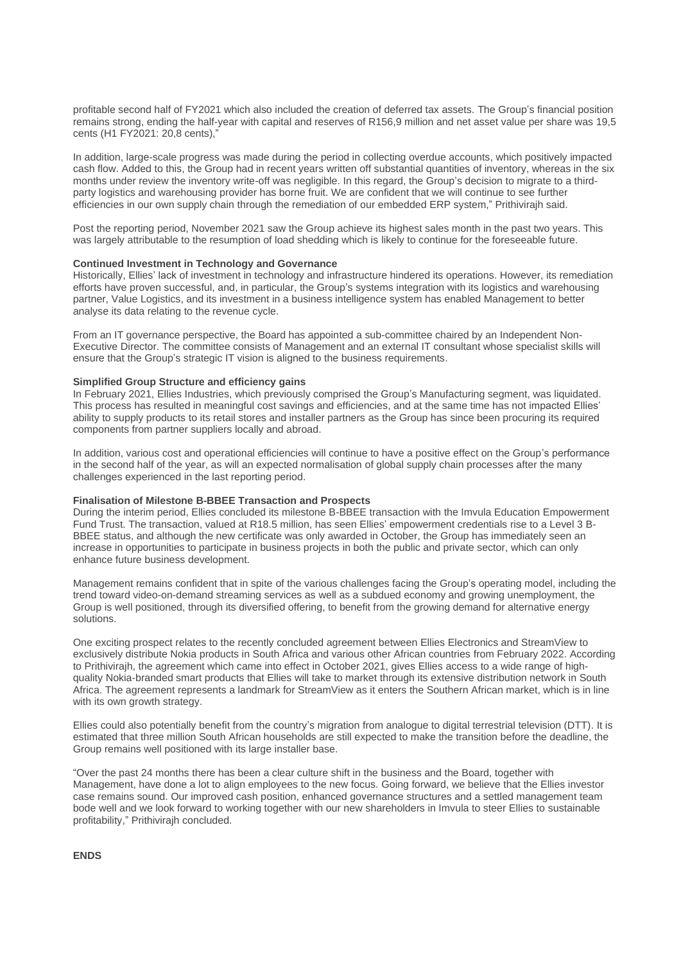profitable second half of FY2021 which also included the creation of deferred tax assets. The Group's financial position remains strong, ending the half-year with capital and reserves of R156,9 million and net asset value per share was 19,5 cents (H1 FY2021: 20,8 cents),"

In addition, large-scale progress was made during the period in collecting overdue accounts, which positively impacted cash flow. Added to this, the Group had in recent years written off substantial quantities of inventory, whereas in the six months under review the inventory write-off was negligible. In this regard, the Group's decision to migrate to a thirdparty logistics and warehousing provider has borne fruit. We are confident that we will continue to see further efficiencies in our own supply chain through the remediation of our embedded ERP system," Prithivirajh said.

Post the reporting period, November 2021 saw the Group achieve its highest sales month in the past two years. This was largely attributable to the resumption of load shedding which is likely to continue for the foreseeable future.

#### **Continued Investment in Technology and Governance**

Historically, Ellies' lack of investment in technology and infrastructure hindered its operations. However, its remediation efforts have proven successful, and, in particular, the Group's systems integration with its logistics and warehousing partner, Value Logistics, and its investment in a business intelligence system has enabled Management to better analyse its data relating to the revenue cycle.

From an IT governance perspective, the Board has appointed a sub-committee chaired by an Independent Non-Executive Director. The committee consists of Management and an external IT consultant whose specialist skills will ensure that the Group's strategic IT vision is aligned to the business requirements.

### **Simplified Group Structure and efficiency gains**

In February 2021, Ellies Industries, which previously comprised the Group's Manufacturing segment, was liquidated. This process has resulted in meaningful cost savings and efficiencies, and at the same time has not impacted Ellies' ability to supply products to its retail stores and installer partners as the Group has since been procuring its required components from partner suppliers locally and abroad.

In addition, various cost and operational efficiencies will continue to have a positive effect on the Group's performance in the second half of the year, as will an expected normalisation of global supply chain processes after the many challenges experienced in the last reporting period.

#### **Finalisation of Milestone B-BBEE Transaction and Prospects**

During the interim period, Ellies concluded its milestone B-BBEE transaction with the Imvula Education Empowerment Fund Trust. The transaction, valued at R18.5 million, has seen Ellies' empowerment credentials rise to a Level 3 B-BBEE status, and although the new certificate was only awarded in October, the Group has immediately seen an increase in opportunities to participate in business projects in both the public and private sector, which can only enhance future business development.

Management remains confident that in spite of the various challenges facing the Group's operating model, including the trend toward video-on-demand streaming services as well as a subdued economy and growing unemployment, the Group is well positioned, through its diversified offering, to benefit from the growing demand for alternative energy solutions.

One exciting prospect relates to the recently concluded agreement between Ellies Electronics and StreamView to exclusively distribute Nokia products in South Africa and various other African countries from February 2022. According to Prithivirajh, the agreement which came into effect in October 2021, gives Ellies access to a wide range of highquality Nokia-branded smart products that Ellies will take to market through its extensive distribution network in South Africa. The agreement represents a landmark for StreamView as it enters the Southern African market, which is in line with its own growth strategy.

Ellies could also potentially benefit from the country's migration from analogue to digital terrestrial television (DTT). It is estimated that three million South African households are still expected to make the transition before the deadline, the Group remains well positioned with its large installer base.

"Over the past 24 months there has been a clear culture shift in the business and the Board, together with Management, have done a lot to align employees to the new focus. Going forward, we believe that the Ellies investor case remains sound. Our improved cash position, enhanced governance structures and a settled management team bode well and we look forward to working together with our new shareholders in Imvula to steer Ellies to sustainable profitability," Prithivirajh concluded.

**ENDS**